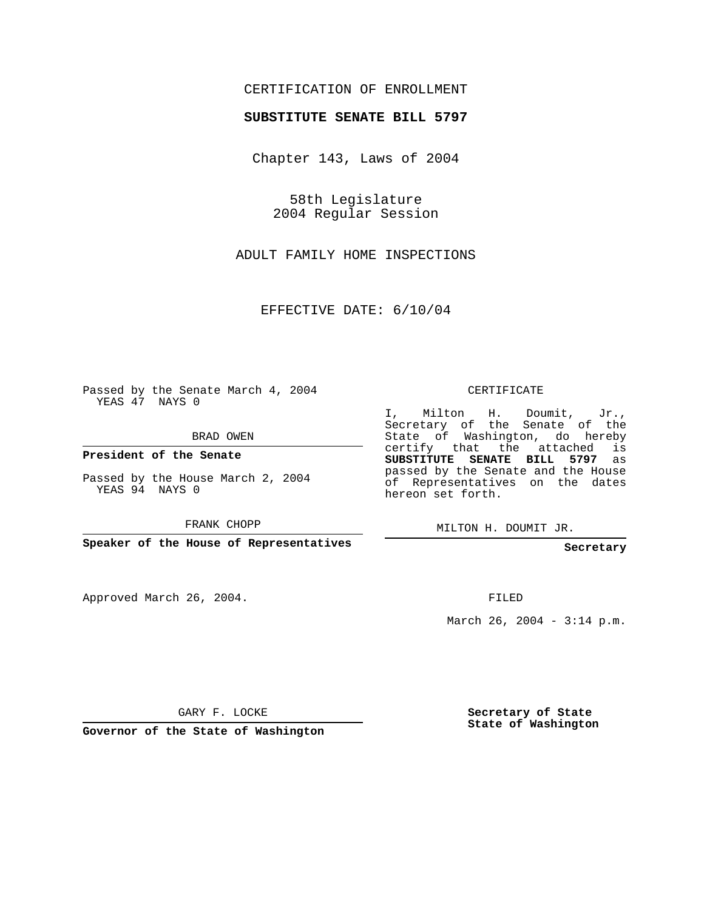## CERTIFICATION OF ENROLLMENT

## **SUBSTITUTE SENATE BILL 5797**

Chapter 143, Laws of 2004

58th Legislature 2004 Regular Session

ADULT FAMILY HOME INSPECTIONS

EFFECTIVE DATE: 6/10/04

Passed by the Senate March 4, 2004 YEAS 47 NAYS 0

BRAD OWEN

**President of the Senate**

Passed by the House March 2, 2004 YEAS 94 NAYS 0

FRANK CHOPP

**Speaker of the House of Representatives**

Approved March 26, 2004.

CERTIFICATE

I, Milton H. Doumit, Jr., Secretary of the Senate of the State of Washington, do hereby certify that the attached is **SUBSTITUTE SENATE BILL 5797** as passed by the Senate and the House of Representatives on the dates hereon set forth.

MILTON H. DOUMIT JR.

**Secretary**

FILED

March 26, 2004 - 3:14 p.m.

GARY F. LOCKE

**Governor of the State of Washington**

**Secretary of State State of Washington**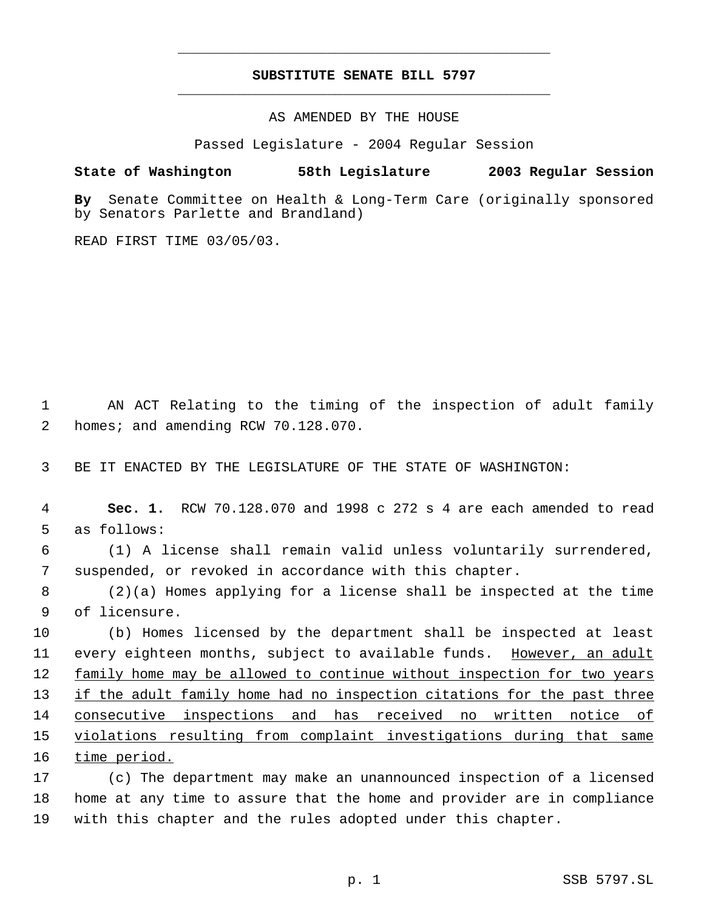## **SUBSTITUTE SENATE BILL 5797** \_\_\_\_\_\_\_\_\_\_\_\_\_\_\_\_\_\_\_\_\_\_\_\_\_\_\_\_\_\_\_\_\_\_\_\_\_\_\_\_\_\_\_\_\_

\_\_\_\_\_\_\_\_\_\_\_\_\_\_\_\_\_\_\_\_\_\_\_\_\_\_\_\_\_\_\_\_\_\_\_\_\_\_\_\_\_\_\_\_\_

AS AMENDED BY THE HOUSE

Passed Legislature - 2004 Regular Session

## **State of Washington 58th Legislature 2003 Regular Session**

**By** Senate Committee on Health & Long-Term Care (originally sponsored by Senators Parlette and Brandland)

READ FIRST TIME 03/05/03.

 1 AN ACT Relating to the timing of the inspection of adult family 2 homes; and amending RCW 70.128.070.

3 BE IT ENACTED BY THE LEGISLATURE OF THE STATE OF WASHINGTON:

 4 **Sec. 1.** RCW 70.128.070 and 1998 c 272 s 4 are each amended to read 5 as follows:

 6 (1) A license shall remain valid unless voluntarily surrendered, 7 suspended, or revoked in accordance with this chapter.

 8 (2)(a) Homes applying for a license shall be inspected at the time 9 of licensure.

10 (b) Homes licensed by the department shall be inspected at least 11 every eighteen months, subject to available funds. However, an adult 12 family home may be allowed to continue without inspection for two years 13 if the adult family home had no inspection citations for the past three 14 consecutive inspections and has received no written notice of 15 violations resulting from complaint investigations during that same 16 time period.

17 (c) The department may make an unannounced inspection of a licensed 18 home at any time to assure that the home and provider are in compliance 19 with this chapter and the rules adopted under this chapter.